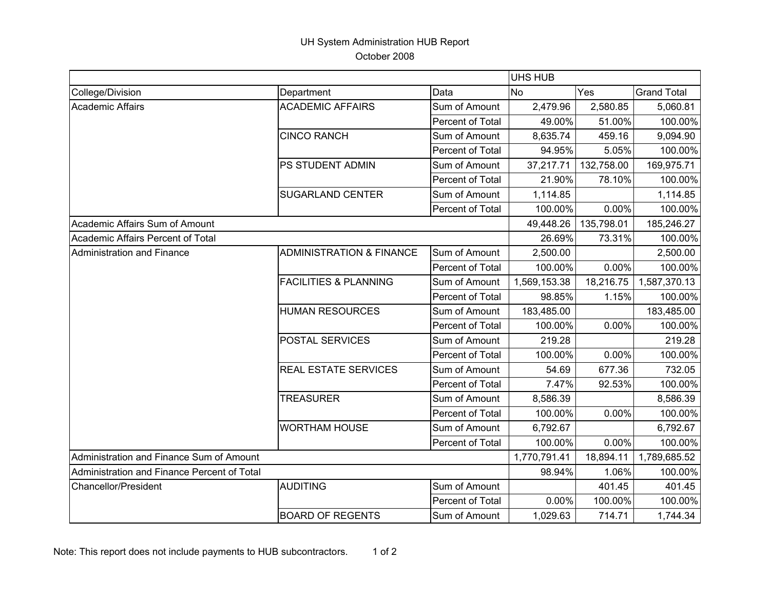## UH System Administration HUB Report October 2008

|                                             |                                     |                         | <b>UHS HUB</b> |            |                    |
|---------------------------------------------|-------------------------------------|-------------------------|----------------|------------|--------------------|
| College/Division                            | Department                          | Data                    | <b>No</b>      | Yes        | <b>Grand Total</b> |
| <b>Academic Affairs</b>                     | <b>ACADEMIC AFFAIRS</b>             | Sum of Amount           | 2,479.96       | 2,580.85   | 5,060.81           |
|                                             |                                     | Percent of Total        | 49.00%         | 51.00%     | 100.00%            |
|                                             | <b>CINCO RANCH</b>                  | Sum of Amount           | 8,635.74       | 459.16     | 9,094.90           |
|                                             |                                     | Percent of Total        | 94.95%         | 5.05%      | 100.00%            |
|                                             | PS STUDENT ADMIN                    | Sum of Amount           | 37,217.71      | 132,758.00 | 169,975.71         |
|                                             |                                     | <b>Percent of Total</b> | 21.90%         | 78.10%     | 100.00%            |
|                                             | <b>SUGARLAND CENTER</b>             | Sum of Amount           | 1,114.85       |            | 1,114.85           |
|                                             |                                     | Percent of Total        | 100.00%        | $0.00\%$   | 100.00%            |
| Academic Affairs Sum of Amount              |                                     |                         | 49,448.26      | 135,798.01 | 185,246.27         |
| Academic Affairs Percent of Total           |                                     |                         | 26.69%         | 73.31%     | 100.00%            |
| <b>Administration and Finance</b>           | <b>ADMINISTRATION &amp; FINANCE</b> | Sum of Amount           | 2,500.00       |            | 2,500.00           |
|                                             |                                     | Percent of Total        | 100.00%        | $0.00\%$   | 100.00%            |
|                                             | <b>FACILITIES &amp; PLANNING</b>    | Sum of Amount           | 1,569,153.38   | 18,216.75  | 1,587,370.13       |
|                                             |                                     | Percent of Total        | 98.85%         | 1.15%      | 100.00%            |
|                                             | <b>HUMAN RESOURCES</b>              | Sum of Amount           | 183,485.00     |            | 183,485.00         |
|                                             |                                     | Percent of Total        | 100.00%        | 0.00%      | 100.00%            |
|                                             | POSTAL SERVICES                     | Sum of Amount           | 219.28         |            | 219.28             |
|                                             |                                     | Percent of Total        | 100.00%        | $0.00\%$   | 100.00%            |
|                                             | REAL ESTATE SERVICES                | Sum of Amount           | 54.69          | 677.36     | 732.05             |
|                                             |                                     | Percent of Total        | 7.47%          | 92.53%     | 100.00%            |
|                                             | <b>TREASURER</b>                    | Sum of Amount           | 8,586.39       |            | 8,586.39           |
|                                             |                                     | Percent of Total        | 100.00%        | $0.00\%$   | 100.00%            |
|                                             | <b>WORTHAM HOUSE</b>                | Sum of Amount           | 6,792.67       |            | 6,792.67           |
|                                             |                                     | Percent of Total        | 100.00%        | $0.00\%$   | 100.00%            |
| Administration and Finance Sum of Amount    |                                     |                         | 1,770,791.41   | 18,894.11  | 1,789,685.52       |
| Administration and Finance Percent of Total |                                     |                         | 98.94%         | 1.06%      | 100.00%            |
| <b>Chancellor/President</b>                 | <b>AUDITING</b>                     | Sum of Amount           |                | 401.45     | 401.45             |
|                                             |                                     | Percent of Total        | 0.00%          | 100.00%    | 100.00%            |
|                                             | <b>BOARD OF REGENTS</b>             | Sum of Amount           | 1,029.63       | 714.71     | 1,744.34           |